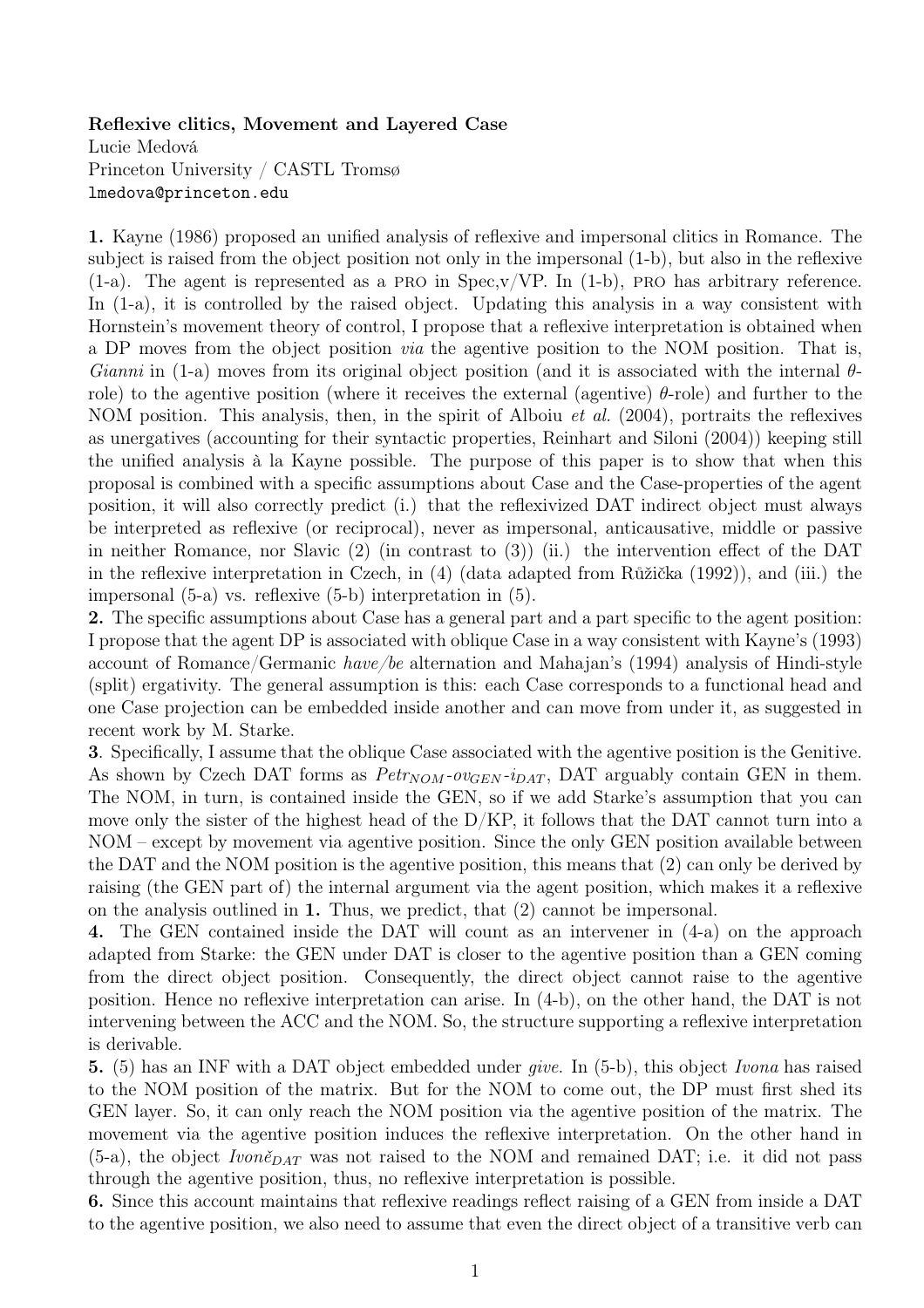## Reflexive clitics, Movement and Layered Case

Lucie Medová Princeton University / CASTL Tromsø lmedova@princeton.edu

1. Kayne (1986) proposed an unified analysis of reflexive and impersonal clitics in Romance. The subject is raised from the object position not only in the impersonal (1-b), but also in the reflexive  $(1-a)$ . The agent is represented as a PRO in Spec, v/VP. In  $(1-b)$ , PRO has arbitrary reference. In (1-a), it is controlled by the raised object. Updating this analysis in a way consistent with Hornstein's movement theory of control, I propose that a reflexive interpretation is obtained when a DP moves from the object position via the agentive position to the NOM position. That is, Gianni in (1-a) moves from its original object position (and it is associated with the internal  $\theta$ role) to the agentive position (where it receives the external (agentive)  $\theta$ -role) and further to the NOM position. This analysis, then, in the spirit of Alboiu *et al.* (2004), portraits the reflexives as unergatives (accounting for their syntactic properties, Reinhart and Siloni (2004)) keeping still the unified analysis à la Kayne possible. The purpose of this paper is to show that when this proposal is combined with a specific assumptions about Case and the Case-properties of the agent position, it will also correctly predict (i.) that the reflexivized DAT indirect object must always be interpreted as reflexive (or reciprocal), never as impersonal, anticausative, middle or passive in neither Romance, nor Slavic (2) (in contrast to (3)) (ii.) the intervention effect of the DAT in the reflexive interpretation in Czech, in (4) (data adapted from Růžička (1992)), and (iii.) the impersonal (5-a) vs. reflexive (5-b) interpretation in (5).

2. The specific assumptions about Case has a general part and a part specific to the agent position: I propose that the agent DP is associated with oblique Case in a way consistent with Kayne's (1993) account of Romance/Germanic have/be alternation and Mahajan's (1994) analysis of Hindi-style (split) ergativity. The general assumption is this: each Case corresponds to a functional head and one Case projection can be embedded inside another and can move from under it, as suggested in recent work by M. Starke.

3. Specifically, I assume that the oblique Case associated with the agentive position is the Genitive. As shown by Czech DAT forms as  $Petr_{NOM}$ - $ov_{GEN}$ - $i_{DATA}$ , DAT arguably contain GEN in them. The NOM, in turn, is contained inside the GEN, so if we add Starke's assumption that you can move only the sister of the highest head of the  $D/KP$ , it follows that the DAT cannot turn into a NOM – except by movement via agentive position. Since the only GEN position available between the DAT and the NOM position is the agentive position, this means that (2) can only be derived by raising (the GEN part of) the internal argument via the agent position, which makes it a reflexive on the analysis outlined in 1. Thus, we predict, that  $(2)$  cannot be impersonal.

4. The GEN contained inside the DAT will count as an intervener in (4-a) on the approach adapted from Starke: the GEN under DAT is closer to the agentive position than a GEN coming from the direct object position. Consequently, the direct object cannot raise to the agentive position. Hence no reflexive interpretation can arise. In (4-b), on the other hand, the DAT is not intervening between the ACC and the NOM. So, the structure supporting a reflexive interpretation is derivable.

5. (5) has an INF with a DAT object embedded under give. In (5-b), this object Ivona has raised to the NOM position of the matrix. But for the NOM to come out, the DP must first shed its GEN layer. So, it can only reach the NOM position via the agentive position of the matrix. The movement via the agentive position induces the reflexive interpretation. On the other hand in (5-a), the object  $Ivon\check{e}_{DATA}$  was not raised to the NOM and remained DAT; i.e. it did not pass through the agentive position, thus, no reflexive interpretation is possible.

6. Since this account maintains that reflexive readings reflect raising of a GEN from inside a DAT to the agentive position, we also need to assume that even the direct object of a transitive verb can